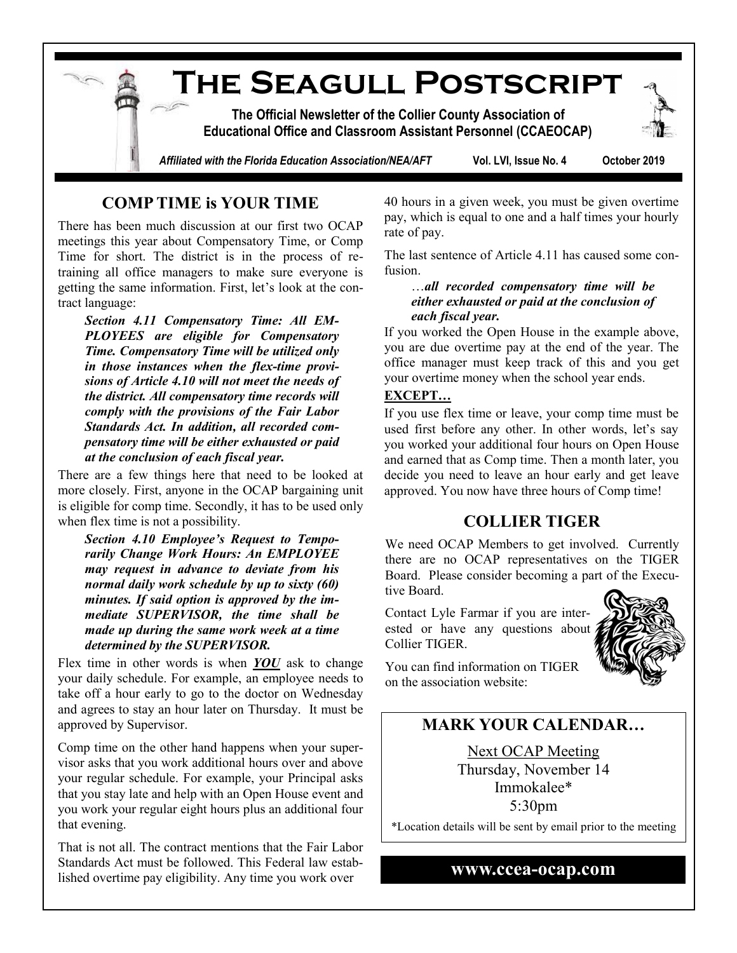**The Seagull Postscript The Official Newsletter of the Collier County Association of Educational Office and Classroom Assistant Personnel (CCAEOCAP)** *Affiliated with the Florida Education Association/NEA/AFT* **Vol. LVI, Issue No. 4 October 2019**

### **COMP TIME is YOUR TIME**

There has been much discussion at our first two OCAP meetings this year about Compensatory Time, or Comp Time for short. The district is in the process of retraining all office managers to make sure everyone is getting the same information. First, let's look at the contract language:

*Section 4.11 Compensatory Time: All EM-PLOYEES are eligible for Compensatory Time. Compensatory Time will be utilized only in those instances when the flex-time provisions of Article 4.10 will not meet the needs of the district. All compensatory time records will comply with the provisions of the Fair Labor Standards Act. In addition, all recorded compensatory time will be either exhausted or paid at the conclusion of each fiscal year.*

There are a few things here that need to be looked at more closely. First, anyone in the OCAP bargaining unit is eligible for comp time. Secondly, it has to be used only when flex time is not a possibility.

*Section 4.10 Employee's Request to Temporarily Change Work Hours: An EMPLOYEE may request in advance to deviate from his normal daily work schedule by up to sixty (60) minutes. If said option is approved by the immediate SUPERVISOR, the time shall be made up during the same work week at a time determined by the SUPERVISOR.*

Flex time in other words is when *YOU* ask to change your daily schedule. For example, an employee needs to take off a hour early to go to the doctor on Wednesday and agrees to stay an hour later on Thursday. It must be approved by Supervisor.

Comp time on the other hand happens when your supervisor asks that you work additional hours over and above your regular schedule. For example, your Principal asks that you stay late and help with an Open House event and you work your regular eight hours plus an additional four that evening.

That is not all. The contract mentions that the Fair Labor Standards Act must be followed. This Federal law established overtime pay eligibility. Any time you work over

40 hours in a given week, you must be given overtime pay, which is equal to one and a half times your hourly rate of pay.

The last sentence of Article 4.11 has caused some confusion.

#### …*all recorded compensatory time will be either exhausted or paid at the conclusion of each fiscal year.*

If you worked the Open House in the example above, you are due overtime pay at the end of the year. The office manager must keep track of this and you get your overtime money when the school year ends.

#### **EXCEPT…**

If you use flex time or leave, your comp time must be used first before any other. In other words, let's say you worked your additional four hours on Open House and earned that as Comp time. Then a month later, you decide you need to leave an hour early and get leave approved. You now have three hours of Comp time!

### **COLLIER TIGER**

We need OCAP Members to get involved. Currently there are no OCAP representatives on the TIGER Board. Please consider becoming a part of the Executive Board.

Contact Lyle Farmar if you are interested or have any questions about Collier TIGER.



You can find information on TIGER on the association website:

## **MARK YOUR CALENDAR…**

Next OCAP Meeting Thursday, November 14 Immokalee\* 5:30pm

\*Location details will be sent by email prior to the meeting

#### **www.ccea-ocap.com**